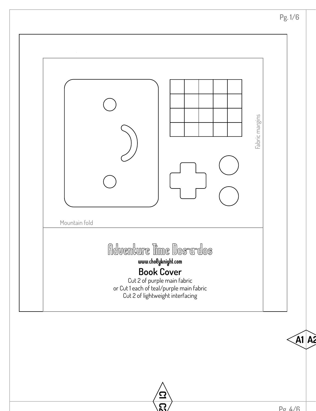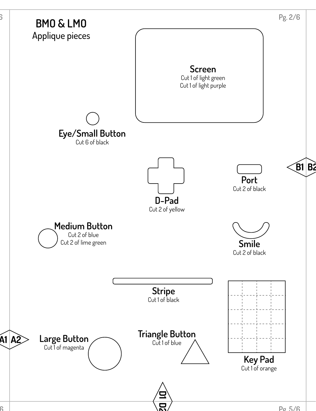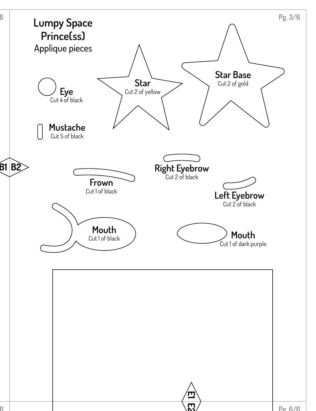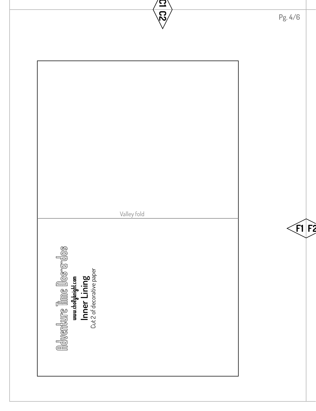| $\boldsymbol{\Xi}$<br>$\overline{\mathcal{C}}$ | Pg. 4/6      |
|------------------------------------------------|--------------|
|                                                |              |
|                                                |              |
|                                                |              |
|                                                |              |
|                                                |              |
|                                                |              |
| Valley fold                                    | $\leq$ F1 F2 |
|                                                |              |
|                                                |              |
|                                                |              |
|                                                |              |
|                                                |              |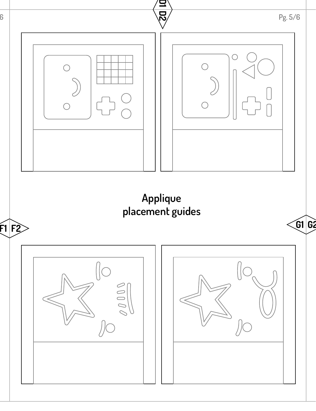